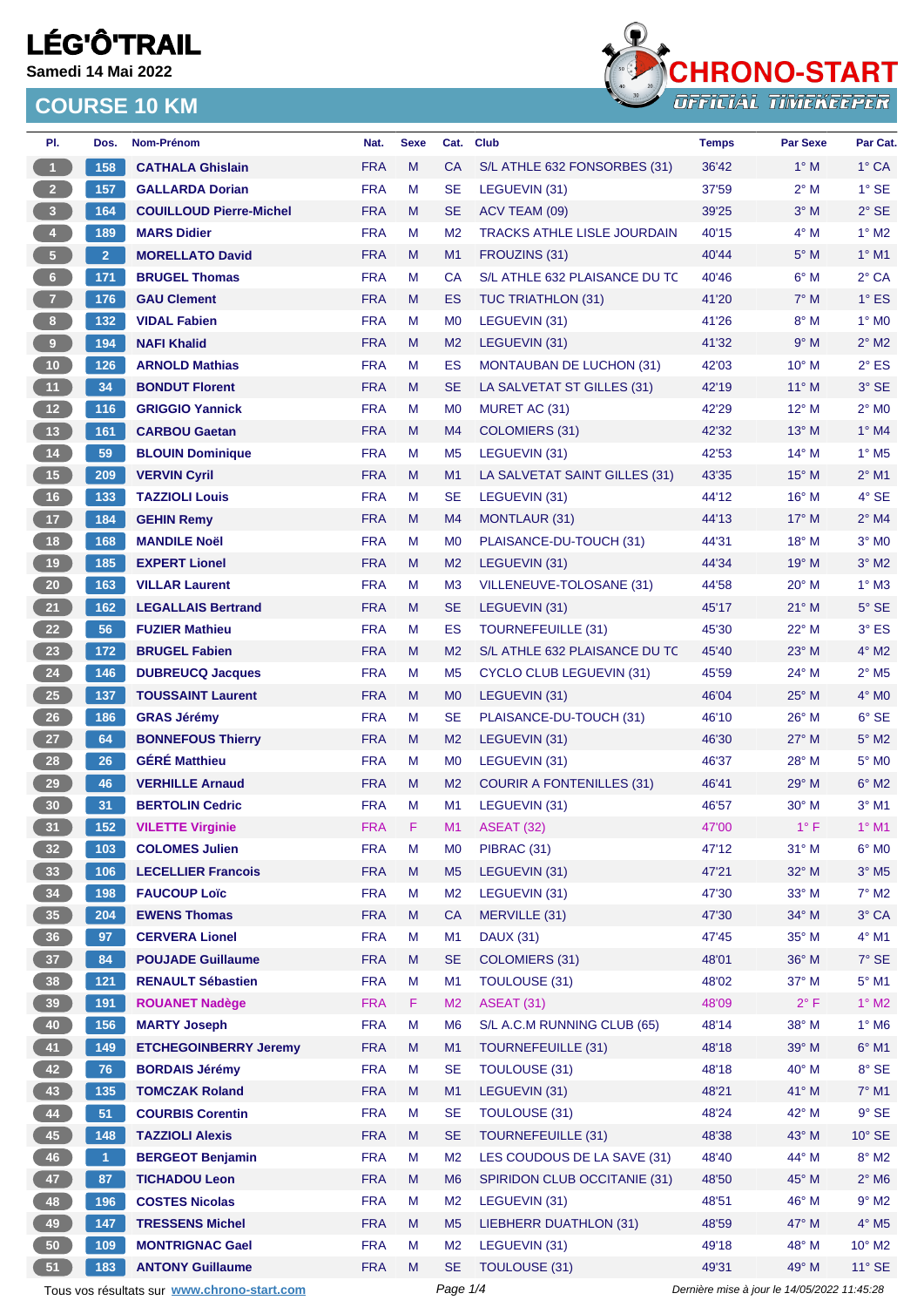**Samedi 14 Mai 2022**



| PI.                     | Dos.           | Nom-Prénom                                  | Nat.       | <b>Sexe</b> | Cat.           | <b>Club</b>                        | <b>Temps</b>                                | <b>Par Sexe</b> | Par Cat.                   |
|-------------------------|----------------|---------------------------------------------|------------|-------------|----------------|------------------------------------|---------------------------------------------|-----------------|----------------------------|
| $\mathbf{1}$            | 158            | <b>CATHALA Ghislain</b>                     | <b>FRA</b> | M           | CA             | S/L ATHLE 632 FONSORBES (31)       | 36'42                                       | $1^\circ$ M     | $1^\circ$ CA               |
| 2 <sup>7</sup>          | 157            | <b>GALLARDA Dorian</b>                      | <b>FRA</b> | M           | <b>SE</b>      | LEGUEVIN (31)                      | 37'59                                       | $2^{\circ}$ M   | $1^\circ$ SE               |
| 3 <sup>2</sup>          | 164            | <b>COUILLOUD Pierre-Michel</b>              | <b>FRA</b> | M           | <b>SE</b>      | ACV TEAM (09)                      | 39'25                                       | $3^\circ$ M     | $2°$ SE                    |
| $\overline{\mathbf{4}}$ | 189            | <b>MARS Didier</b>                          | <b>FRA</b> | М           | M <sub>2</sub> | <b>TRACKS ATHLE LISLE JOURDAIN</b> | 40'15                                       | $4^\circ$ M     | $1^\circ$ M2               |
| 5 <sub>1</sub>          | 2 <sup>1</sup> | <b>MORELLATO David</b>                      | <b>FRA</b> | M           | M1             | FROUZINS (31)                      | 40'44                                       | $5^\circ$ M     | $1^\circ$ M1               |
| $6\phantom{.}$          | 171            | <b>BRUGEL Thomas</b>                        | <b>FRA</b> | M           | CA             | S/L ATHLE 632 PLAISANCE DU TC      | 40'46                                       | $6^\circ$ M     | $2°$ CA                    |
| 7 <sup>2</sup>          | 176            | <b>GAU Clement</b>                          | <b>FRA</b> | M           | ES             | TUC TRIATHLON (31)                 | 41'20                                       | $7^\circ$ M     | $1^\circ$ ES               |
| 8 <sup>1</sup>          | $132$          | <b>VIDAL Fabien</b>                         | <b>FRA</b> | М           | M <sub>0</sub> | LEGUEVIN (31)                      | 41'26                                       | $8^\circ$ M     | $1^\circ$ MO               |
| 9 <sup>°</sup>          | 194            | <b>NAFI Khalid</b>                          | <b>FRA</b> | M           | M <sub>2</sub> | LEGUEVIN (31)                      | 41'32                                       | 9° M            | $2^{\circ}$ M2             |
| 10 <sub>1</sub>         | 126            | <b>ARNOLD Mathias</b>                       | <b>FRA</b> | M           | ES             | <b>MONTAUBAN DE LUCHON (31)</b>    | 42'03                                       | $10^{\circ}$ M  | $2^{\circ}$ ES             |
| 11                      | 34             | <b>BONDUT Florent</b>                       | <b>FRA</b> | M           | <b>SE</b>      | LA SALVETAT ST GILLES (31)         | 42'19                                       | $11^{\circ}$ M  | 3° SE                      |
| 12 <sup>°</sup>         | 116            | <b>GRIGGIO Yannick</b>                      | <b>FRA</b> | М           | M <sub>0</sub> | MURET AC (31)                      | 42'29                                       | $12^{\circ}$ M  | $2^{\circ}$ MO             |
| 13                      | 161            | <b>CARBOU Gaetan</b>                        | <b>FRA</b> | M           | M4             | <b>COLOMIERS (31)</b>              | 42'32                                       | $13^{\circ}$ M  | $1^\circ$ M4               |
| $14$                    | 59             | <b>BLOUIN Dominique</b>                     | <b>FRA</b> | М           | M <sub>5</sub> | LEGUEVIN (31)                      | 42'53                                       | 14° M           | $1^\circ$ M <sub>5</sub>   |
| 15                      | 209            | <b>VERVIN Cyril</b>                         | <b>FRA</b> | M           | M1             | LA SALVETAT SAINT GILLES (31)      | 43'35                                       | $15^{\circ}$ M  | $2^{\circ}$ M1             |
| 16                      | 133            | <b>TAZZIOLI Louis</b>                       | <b>FRA</b> | M           | <b>SE</b>      | LEGUEVIN (31)                      | 44'12                                       | 16° M           | 4° SE                      |
| $17$                    | 184            | <b>GEHIN Remy</b>                           | <b>FRA</b> | M           | M4             | <b>MONTLAUR (31)</b>               | 44'13                                       | $17^\circ$ M    | $2^{\circ}$ M4             |
| 18                      | 168            | <b>MANDILE Noël</b>                         | <b>FRA</b> | M           | M <sub>0</sub> | PLAISANCE-DU-TOUCH (31)            | 44'31                                       | 18° M           | $3°$ MO                    |
| 19                      | 185            | <b>EXPERT Lionel</b>                        | <b>FRA</b> | M           | M <sub>2</sub> | LEGUEVIN (31)                      | 44'34                                       | $19°$ M         | $3^\circ$ M2               |
| 20 <sub>2</sub>         | 163            | <b>VILLAR Laurent</b>                       | <b>FRA</b> | M           | M <sub>3</sub> | VILLENEUVE-TOLOSANE (31)           | 44'58                                       | $20^{\circ}$ M  | $1^\circ$ M3               |
| 21                      | 162            | <b>LEGALLAIS Bertrand</b>                   | <b>FRA</b> | M           | <b>SE</b>      | LEGUEVIN (31)                      | 45'17                                       | $21^{\circ}$ M  | $5^\circ$ SE               |
| 22                      | 56             | <b>FUZIER Mathieu</b>                       | <b>FRA</b> | М           | ES             | <b>TOURNEFEUILLE (31)</b>          | 45'30                                       | 22° M           | $3°$ ES                    |
| 23                      | 172            | <b>BRUGEL Fabien</b>                        | <b>FRA</b> | M           | M <sub>2</sub> | S/L ATHLE 632 PLAISANCE DU TC      | 45'40                                       | $23^\circ$ M    | $4^\circ$ M2               |
| 24                      | 146            | <b>DUBREUCQ Jacques</b>                     | <b>FRA</b> | М           | M <sub>5</sub> | <b>CYCLO CLUB LEGUEVIN (31)</b>    | 45'59                                       | 24° M           | $2^{\circ}$ M <sub>5</sub> |
| $25\phantom{.0}$        | 137            | <b>TOUSSAINT Laurent</b>                    | <b>FRA</b> | M           | M <sub>0</sub> | LEGUEVIN (31)                      | 46'04                                       | 25° M           | $4^\circ$ MO               |
| 26                      | 186            | <b>GRAS Jérémy</b>                          | <b>FRA</b> | М           | <b>SE</b>      | PLAISANCE-DU-TOUCH (31)            | 46'10                                       | 26° M           | $6°$ SE                    |
| 27                      | 64             | <b>BONNEFOUS Thierry</b>                    | <b>FRA</b> | M           | M <sub>2</sub> | LEGUEVIN (31)                      | 46'30                                       | 27° M           | $5^\circ$ M2               |
| 28                      | 26             | <b>GÉRÉ Matthieu</b>                        | <b>FRA</b> | M           | M <sub>0</sub> | LEGUEVIN (31)                      | 46'37                                       | $28^{\circ}$ M  | 5° MO                      |
| 29                      | 46             | <b>VERHILLE Arnaud</b>                      | <b>FRA</b> | M           | M <sub>2</sub> | <b>COURIR A FONTENILLES (31)</b>   | 46'41                                       | 29° M           | $6^\circ$ M2               |
| 30                      | 31             | <b>BERTOLIN Cedric</b>                      | <b>FRA</b> | М           | M1             | LEGUEVIN (31)                      | 46'57                                       | $30^\circ$ M    | $3^\circ$ M1               |
| 31                      | 152            | <b>VILETTE Virginie</b>                     | <b>FRA</b> | F           | M1.            | ASEAT (32)                         | 47'00                                       | $1^{\circ}$ F   | $1^\circ$ M1               |
| 32 <sup>7</sup>         | 103            | <b>COLOMES Julien</b>                       | <b>FRA</b> | M           | M0             | PIBRAC (31)                        | 47'12                                       | $31°$ M         | $6^\circ$ MO               |
| 33 <sup>°</sup>         | 106            | <b>LECELLIER Francois</b>                   | <b>FRA</b> | ${\sf M}$   | M <sub>5</sub> | LEGUEVIN (31)                      | 47'21                                       | 32° M           | $3^\circ$ M5               |
| 34                      | 198            | <b>FAUCOUP Loïc</b>                         | <b>FRA</b> | M           | M <sub>2</sub> | LEGUEVIN (31)                      | 47'30                                       | $33^\circ$ M    | $7^\circ$ M2               |
| 35 <sub>1</sub>         | 204            | <b>EWENS Thomas</b>                         | <b>FRA</b> | M           | <b>CA</b>      | MERVILLE (31)                      | 47'30                                       | 34° M           | 3° CA                      |
| 36 <sup>°</sup>         | 97             | <b>CERVERA Lionel</b>                       | <b>FRA</b> | М           | M1             | <b>DAUX (31)</b>                   | 47'45                                       | 35° M           | $4^\circ$ M1               |
| 37 <sup>°</sup>         | 84             | <b>POUJADE Guillaume</b>                    | <b>FRA</b> | M           | <b>SE</b>      | <b>COLOMIERS (31)</b>              | 48'01                                       | 36° M           | 7° SE                      |
| 38                      | $121$          | <b>RENAULT Sébastien</b>                    | <b>FRA</b> | M           | M1             | TOULOUSE (31)                      | 48'02                                       | 37° M           | $5^\circ$ M1               |
| 39                      | 191            | <b>ROUANET Nadège</b>                       | <b>FRA</b> | F           | M <sub>2</sub> | <b>ASEAT (31)</b>                  | 48'09                                       | $2^{\circ}$ F   | $1^\circ$ M2               |
| 40                      | 156            | <b>MARTY Joseph</b>                         | <b>FRA</b> | M           | M <sub>6</sub> | S/L A.C.M RUNNING CLUB (65)        | 48'14                                       | 38° M           | $1^\circ$ M6               |
| 41                      | 149            | <b>ETCHEGOINBERRY Jeremy</b>                | <b>FRA</b> | M           | M1             | TOURNEFEUILLE (31)                 | 48'18                                       | 39° M           | $6^\circ$ M1               |
| 42                      | 76             | <b>BORDAIS Jérémy</b>                       | <b>FRA</b> | M           | <b>SE</b>      | <b>TOULOUSE (31)</b>               | 48'18                                       | 40° M           | 8° SE                      |
| 43                      | 135            | <b>TOMCZAK Roland</b>                       | <b>FRA</b> | M           | M1             | LEGUEVIN (31)                      | 48'21                                       | $41^\circ$ M    | $7^\circ$ M1               |
| 44                      | 51             | <b>COURBIS Corentin</b>                     | <b>FRA</b> | M           | <b>SE</b>      | TOULOUSE (31)                      | 48'24                                       | 42° M           | $9°$ SE                    |
| 45                      | 148            | <b>TAZZIOLI Alexis</b>                      | <b>FRA</b> | M           | <b>SE</b>      | <b>TOURNEFEUILLE (31)</b>          | 48'38                                       | 43° M           | 10° SE                     |
| 46                      | $\vert$ 1      | <b>BERGEOT Benjamin</b>                     | <b>FRA</b> | М           | M <sub>2</sub> | LES COUDOUS DE LA SAVE (31)        | 48'40                                       | 44° M           | $8^\circ$ M2               |
| 47                      | 87             | <b>TICHADOU Leon</b>                        | <b>FRA</b> | M           | M <sub>6</sub> | SPIRIDON CLUB OCCITANIE (31)       | 48'50                                       | 45° M           | $2^{\circ}$ M6             |
| 48                      | 196            | <b>COSTES Nicolas</b>                       | <b>FRA</b> | M           | M <sub>2</sub> | LEGUEVIN (31)                      | 48'51                                       | 46° M           | $9^\circ$ M2               |
| 49                      | 147            | <b>TRESSENS Michel</b>                      | <b>FRA</b> | M           | M <sub>5</sub> | LIEBHERR DUATHLON (31)             | 48'59                                       | 47° M           | $4^\circ$ M5               |
| 50                      | 109            | <b>MONTRIGNAC Gael</b>                      | <b>FRA</b> | М           | M <sub>2</sub> | LEGUEVIN (31)                      | 49'18                                       | 48° M           | $10^{\circ}$ M2            |
| 51                      | 183            | <b>ANTONY Guillaume</b>                     | <b>FRA</b> | M           | <b>SE</b>      | TOULOUSE (31)                      | 49'31                                       | 49° M           | $11^\circ$ SE              |
|                         |                | Tous vos résultats sur www.chrono-start.com |            |             | Page 1/4       |                                    | Dernière mise à jour le 14/05/2022 11:45:28 |                 |                            |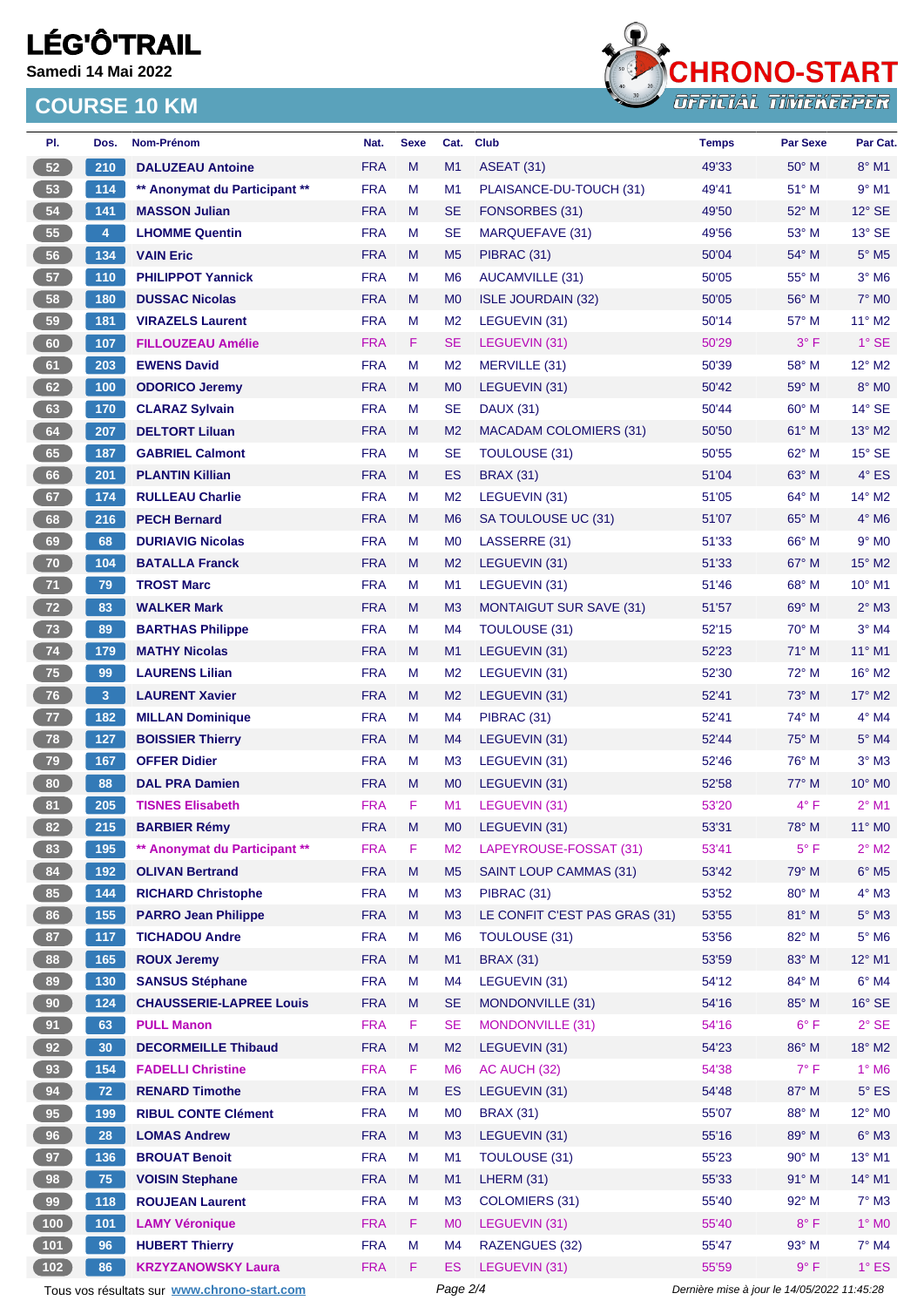**Samedi 14 Mai 2022**



| PI. | Dos.           | Nom-Prénom                                  | Nat.                     | <b>Sexe</b> | Cat.           | <b>Club</b>                    | <b>Temps</b>                                | <b>Par Sexe</b> | Par Cat.                     |  |
|-----|----------------|---------------------------------------------|--------------------------|-------------|----------------|--------------------------------|---------------------------------------------|-----------------|------------------------------|--|
| 52  | 210            | <b>DALUZEAU Antoine</b>                     | <b>FRA</b>               | M           | M1             | <b>ASEAT (31)</b>              | 49'33                                       | $50^\circ$ M    | $8^\circ$ M1                 |  |
| 53  | 114            | ** Anonymat du Participant **               | <b>FRA</b>               | M           | M1             | PLAISANCE-DU-TOUCH (31)        | 49'41                                       | $51^{\circ}$ M  | $9°$ M1                      |  |
| 54  | 141            | <b>MASSON Julian</b>                        | <b>FRA</b>               | M           | <b>SE</b>      | FONSORBES (31)                 | 49'50                                       | 52° M           | $12^{\circ}$ SE              |  |
| 55  | $\overline{4}$ | <b>LHOMME Quentin</b>                       | <b>FRA</b>               | M           | <b>SE</b>      | MARQUEFAVE (31)                | 49'56                                       | $53^\circ$ M    | $13°$ SE                     |  |
| 56  | 134            | <b>VAIN Eric</b>                            | <b>FRA</b>               | M           | M <sub>5</sub> | PIBRAC (31)                    | 50'04                                       | 54° M           | $5^\circ$ M5                 |  |
| 57  | 110            | <b>PHILIPPOT Yannick</b>                    | <b>FRA</b>               | M           | M <sub>6</sub> | AUCAMVILLE (31)                | 50'05                                       | 55° M           | $3^\circ$ M6                 |  |
| 58  | 180            | <b>DUSSAC Nicolas</b>                       | <b>FRA</b>               | M           | M <sub>0</sub> | <b>ISLE JOURDAIN (32)</b>      | 50'05                                       | 56° M           | $7^\circ$ MO                 |  |
| 59  | 181            | <b>VIRAZELS Laurent</b>                     | <b>FRA</b>               | M           | M <sub>2</sub> | LEGUEVIN (31)                  | 50'14                                       | 57° M           | $11^{\circ}$ M2              |  |
| 60  | 107            | <b>FILLOUZEAU Amélie</b>                    | <b>FRA</b>               | F.          | <b>SE</b>      | LEGUEVIN (31)                  | 50'29                                       | $3^{\circ}$ F   | $1^\circ$ SE                 |  |
| 61  | 203            | <b>EWENS David</b>                          | <b>FRA</b>               | M           | M <sub>2</sub> | MERVILLE (31)                  | 50'39                                       | 58° M           | $12^{\circ}$ M2              |  |
| 62  | 100            | <b>ODORICO Jeremy</b>                       | <b>FRA</b>               | M           | M <sub>0</sub> | LEGUEVIN (31)                  | 50'42                                       | 59° M           | 8° MO                        |  |
| 63  | 170            | <b>CLARAZ Sylvain</b>                       | <b>FRA</b>               | M           | <b>SE</b>      | <b>DAUX (31)</b>               | 50'44                                       | $60^\circ$ M    | $14^\circ$ SE                |  |
| 64  | 207            | <b>DELTORT Liluan</b>                       | <b>FRA</b>               | M           | M <sub>2</sub> | <b>MACADAM COLOMIERS (31)</b>  | 50'50                                       | 61° M           | $13^\circ$ M2                |  |
| 65  | 187            | <b>GABRIEL Calmont</b>                      | <b>FRA</b>               | M           | <b>SE</b>      | <b>TOULOUSE (31)</b>           | 50'55                                       | $62^{\circ}$ M  | $15^\circ$ SE                |  |
| 66  | 201            | <b>PLANTIN Killian</b>                      | <b>FRA</b>               | M           | <b>ES</b>      | <b>BRAX (31)</b>               | 51'04                                       | $63^\circ$ M    | $4^\circ$ ES                 |  |
| 67  | 174            | <b>RULLEAU Charlie</b>                      | <b>FRA</b>               | м           | M <sub>2</sub> | LEGUEVIN (31)                  | 51'05                                       | $64^{\circ}$ M  | 14° M2                       |  |
| 68  | 216            | <b>PECH Bernard</b>                         | <b>FRA</b>               | M           | M <sub>6</sub> | SA TOULOUSE UC (31)            | 51'07                                       | 65° M           | $4^\circ$ M6                 |  |
| 69  | 68             | <b>DURIAVIG Nicolas</b>                     | <b>FRA</b>               | M           | M <sub>0</sub> | LASSERRE (31)                  | 51'33                                       | $66^{\circ}$ M  | $9°$ M <sub>0</sub>          |  |
| 70  | 104            | <b>BATALLA Franck</b>                       | <b>FRA</b>               | M           | M <sub>2</sub> | LEGUEVIN (31)                  | 51'33                                       | $67^\circ$ M    | 15° M2                       |  |
| 71  | 79             | <b>TROST Marc</b>                           | <b>FRA</b>               | M           | M <sub>1</sub> | LEGUEVIN (31)                  | 51'46                                       | $68^{\circ}$ M  | $10^{\circ}$ M1              |  |
| 72  | 83             | <b>WALKER Mark</b>                          | <b>FRA</b>               | M           | M <sub>3</sub> | <b>MONTAIGUT SUR SAVE (31)</b> | 51'57                                       | 69° M           | $2°$ M3                      |  |
| 73  | 89             | <b>BARTHAS Philippe</b>                     | <b>FRA</b>               | M           | M4             | TOULOUSE (31)                  | 52'15                                       | $70^\circ$ M    | $3°$ M4                      |  |
| 74  | 179            | <b>MATHY Nicolas</b>                        | <b>FRA</b>               | M           | M1             | LEGUEVIN (31)                  | 52'23                                       | 71° M           | $11^{\circ}$ M1              |  |
| 75  | 99             | <b>LAURENS Lilian</b>                       | <b>FRA</b>               | M           | M <sub>2</sub> | LEGUEVIN (31)                  | 52'30                                       | 72° M           | $16^{\circ}$ M2              |  |
| 76  | 3 <sup>2</sup> | <b>LAURENT Xavier</b>                       | <b>FRA</b>               | M           | M <sub>2</sub> | LEGUEVIN (31)                  | 52'41                                       | $73^\circ$ M    | $17^\circ$ M2                |  |
| 77  | 182            | <b>MILLAN Dominique</b>                     | <b>FRA</b>               | M           | M <sub>4</sub> | PIBRAC (31)                    | 52'41                                       | $74^{\circ}$ M  | $4^\circ$ M4                 |  |
| 78  | 127            | <b>BOISSIER Thierry</b>                     | <b>FRA</b>               | M           | M4             | LEGUEVIN (31)                  | 52'44                                       | $75^\circ$ M    | $5^\circ$ M4                 |  |
| 79  | 167            | <b>OFFER Didier</b>                         | <b>FRA</b>               | M           | M <sub>3</sub> | LEGUEVIN (31)                  | 52'46                                       | 76° M           | $3°$ M $3$                   |  |
| 80  | 88             | <b>DAL PRA Damien</b>                       | <b>FRA</b>               | M           | M <sub>0</sub> | LEGUEVIN (31)                  | 52'58                                       | 77° M           | 10° M0                       |  |
| 81  | 205            | <b>TISNES Elisabeth</b>                     | <b>FRA</b>               | F.          | M1             | LEGUEVIN (31)                  | 53'20                                       | $4^{\circ}$ F   | $2^{\circ}$ M1               |  |
| 82) | 215            | <b>BARBIER Rémy</b>                         | <b>FRA</b>               | M           |                | M0 LEGUEVIN (31)               | 53'31                                       | 78° M           | $11^{\circ}$ MO              |  |
| 83  | 195            | ** Anonymat du Participant **               | <b>FRA</b>               | F.          | M <sub>2</sub> | LAPEYROUSE-FOSSAT (31)         | 53'41                                       | $5^{\circ}$ F   | $2^{\circ}$ M2               |  |
| 84  | 192            | <b>OLIVAN Bertrand</b>                      | <b>FRA</b>               | M           | M <sub>5</sub> | <b>SAINT LOUP CAMMAS (31)</b>  | 53'42                                       | 79° M           | $6^\circ$ M5                 |  |
| 85  | 144            | <b>RICHARD Christophe</b>                   | <b>FRA</b>               | M           | M3             | PIBRAC (31)                    | 53'52                                       | 80° M           | $4^\circ$ M3                 |  |
| 86  | 155            | <b>PARRO Jean Philippe</b>                  | <b>FRA</b>               | M           | M3             | LE CONFIT C'EST PAS GRAS (31)  | 53'55                                       | 81° M           | $5^\circ$ M3                 |  |
| 87  | 117            | <b>TICHADOU Andre</b>                       | <b>FRA</b>               | M           | M <sub>6</sub> | TOULOUSE (31)                  | 53'56                                       | 82° M           | $5^\circ$ M6                 |  |
| 88  | 165            | <b>ROUX Jeremy</b>                          | <b>FRA</b>               | M           | M1             | <b>BRAX (31)</b>               | 53'59                                       | 83° M           | 12° M1                       |  |
| 89  | 130            | <b>SANSUS Stéphane</b>                      | <b>FRA</b>               | M           | M4             | LEGUEVIN (31)                  | 54'12                                       | 84° M           | $6^\circ$ M4                 |  |
| 90  | 124            | <b>CHAUSSERIE-LAPREE Louis</b>              | <b>FRA</b>               | M           | <b>SE</b>      | MONDONVILLE (31)               | 54'16                                       | 85° M           | 16° SE                       |  |
| 91  | 63             | <b>PULL Manon</b>                           | <b>FRA</b>               | F           | <b>SE</b>      | MONDONVILLE (31)               | 54'16                                       | $6^{\circ}$ F   | $2°$ SE                      |  |
| 92  | 30             | <b>DECORMEILLE Thibaud</b>                  | <b>FRA</b>               | M           | M <sub>2</sub> | LEGUEVIN (31)                  | 54'23                                       | 86° M           | 18° M2                       |  |
| 93  | 154            | <b>FADELLI Christine</b>                    | <b>FRA</b>               | F.          | M <sub>6</sub> | AC AUCH (32)                   | 54'38                                       | $7^\circ$ F     | $1^\circ$ M6                 |  |
| 94  | 72             | <b>RENARD Timothe</b>                       | <b>FRA</b>               | M           | ES             | LEGUEVIN (31)                  | 54'48                                       | 87° M           | $5^{\circ}$ ES               |  |
| 95  | 199            | <b>RIBUL CONTE Clément</b>                  | <b>FRA</b>               | М           | M <sub>0</sub> | <b>BRAX (31)</b>               | 55'07                                       | 88° M           | 12° MO                       |  |
| 96  | 28             | <b>LOMAS Andrew</b>                         | <b>FRA</b>               | M           | M3             | LEGUEVIN (31)                  | 55'16                                       | 89° M           | $6^\circ$ M3                 |  |
| 97  | 136            | <b>BROUAT Benoit</b>                        | <b>FRA</b>               | M           | M1             | TOULOUSE (31)                  | 55'23                                       | 90° M           | 13° M1                       |  |
| 98  | 75             | <b>VOISIN Stephane</b>                      | <b>FRA</b>               | M           | M1             | LHERM (31)                     | 55'33                                       | 91° M           | 14° M1                       |  |
| 99  |                | <b>ROUJEAN Laurent</b>                      | <b>FRA</b>               |             | M <sub>3</sub> | <b>COLOMIERS (31)</b>          | 55'40                                       | 92° M           | $7^\circ$ M3                 |  |
| 100 | 118<br>101     | <b>LAMY Véronique</b>                       | <b>FRA</b>               | M<br>F.     | M <sub>0</sub> | LEGUEVIN (31)                  | 55'40                                       | $8^{\circ}$ F   | $1^\circ$ MO                 |  |
|     |                |                                             |                          |             |                |                                |                                             |                 |                              |  |
| 101 | 96             | <b>HUBERT Thierry</b>                       | <b>FRA</b><br><b>FRA</b> | M           | M <sub>4</sub> | RAZENGUES (32)                 | 55'47<br>55'59                              | 93° M<br>9° F   | $7^\circ$ M4<br>$1^\circ$ ES |  |
| 102 | 86             | <b>KRZYZANOWSKY Laura</b>                   |                          | F.          | ES             | LEGUEVIN (31)                  |                                             |                 |                              |  |
|     |                | Tous vos résultats sur www.chrono-start.com |                          |             | Page 2/4       |                                | Dernière mise à jour le 14/05/2022 11:45:28 |                 |                              |  |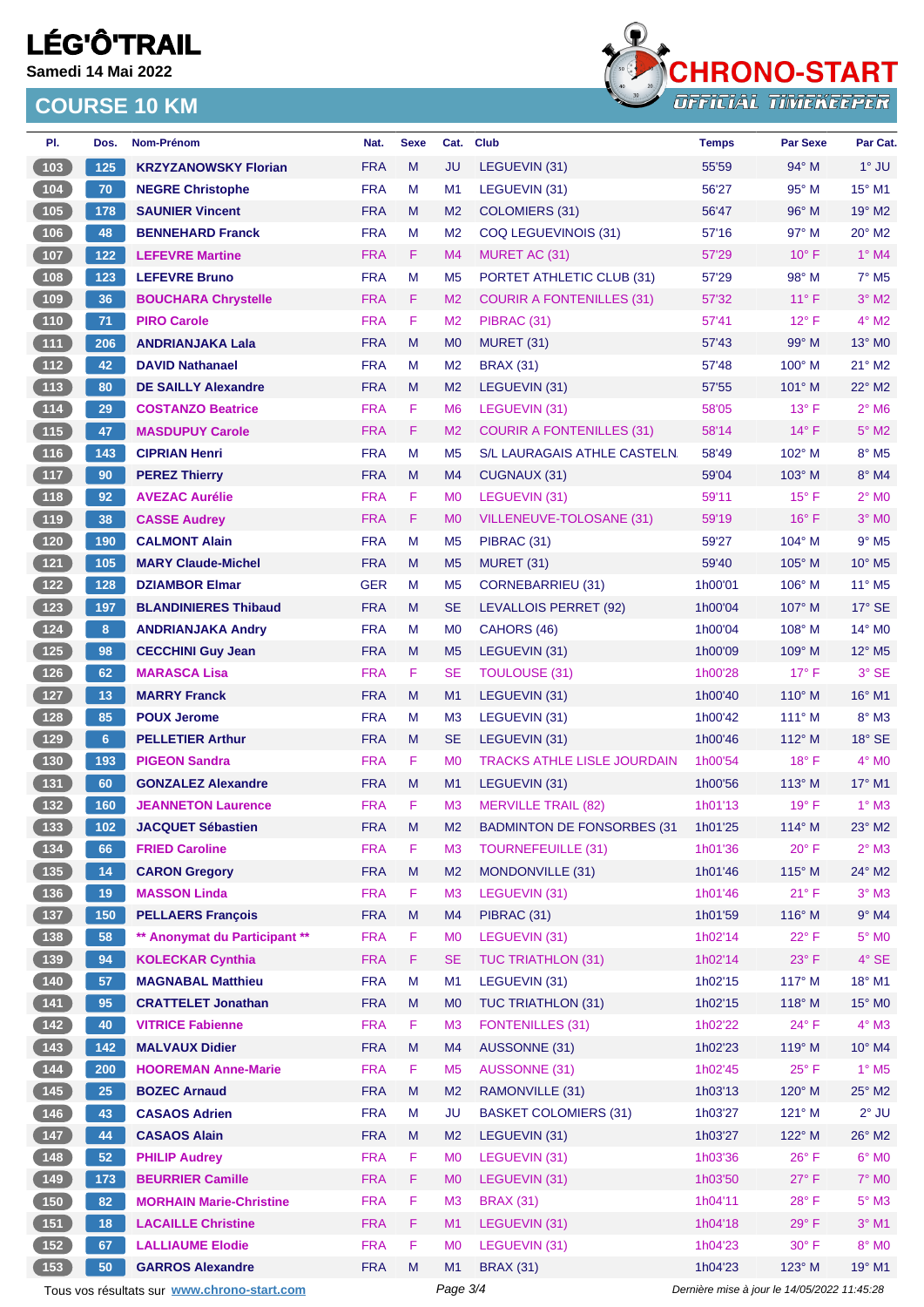**Samedi 14 Mai 2022**



| PI.                                        | Dos.           | Nom-Prénom                                  | Nat.                     | <b>Sexe</b> | Cat.                             | <b>Club</b>                        | <b>Temps</b>                                | Par Sexe                 | Par Cat.                    |  |
|--------------------------------------------|----------------|---------------------------------------------|--------------------------|-------------|----------------------------------|------------------------------------|---------------------------------------------|--------------------------|-----------------------------|--|
| 103                                        | 125            | <b>KRZYZANOWSKY Florian</b>                 | <b>FRA</b>               | M           | <b>JU</b>                        | LEGUEVIN (31)                      | 55'59                                       | $94^\circ$ M             | $1^\circ$ JU                |  |
| $\boxed{104}$                              | 70             | <b>NEGRE Christophe</b>                     | <b>FRA</b>               | М           | M <sub>1</sub>                   | LEGUEVIN (31)                      | 56'27                                       | $95^{\circ}$ M           | $15^{\circ}$ M1             |  |
| 105                                        | 178            | <b>SAUNIER Vincent</b>                      | <b>FRA</b>               | M           | M <sub>2</sub>                   | <b>COLOMIERS (31)</b>              | 56'47                                       | 96° M                    | 19° M2                      |  |
| 106                                        | 48             | <b>BENNEHARD Franck</b>                     | <b>FRA</b>               | М           | M <sub>2</sub>                   | COQ LEGUEVINOIS (31)               | 57'16                                       | 97° M                    | 20° M2                      |  |
| 107                                        | 122            | <b>LEFEVRE Martine</b>                      | <b>FRA</b>               | F.          | M4                               | MURET AC (31)                      | 57'29                                       | $10^{\circ}$ F           | $1°$ M4                     |  |
| 108                                        | 123            | <b>LEFEVRE Bruno</b>                        | <b>FRA</b>               | M           | M <sub>5</sub>                   | PORTET ATHLETIC CLUB (31)          | 57'29                                       | 98° M                    | $7°$ M <sub>5</sub>         |  |
| 109                                        | 36             | <b>BOUCHARA Chrystelle</b>                  | <b>FRA</b>               | F.          | M <sub>2</sub>                   | <b>COURIR A FONTENILLES (31)</b>   | 57'32                                       | $11^{\circ}$ F           | $3°$ M2                     |  |
| 110                                        | 71             | <b>PIRO Carole</b>                          | <b>FRA</b>               | F           | M <sub>2</sub>                   | PIBRAC (31)                        | 57'41                                       | $12^{\circ}$ F           | $4^\circ$ M2                |  |
| $\overline{111}$                           | 206            | <b>ANDRIANJAKA Lala</b>                     | <b>FRA</b>               | M           | M <sub>0</sub>                   | <b>MURET (31)</b>                  | 57'43                                       | $99^\circ$ M             | $13^\circ$ MO               |  |
| $\boxed{112}$                              | 42             | <b>DAVID Nathanael</b>                      | <b>FRA</b>               | M           | M <sub>2</sub>                   | <b>BRAX (31)</b>                   | 57'48                                       | 100° M                   | $21^{\circ}$ M2             |  |
| 113                                        | 80             | <b>DE SAILLY Alexandre</b>                  | <b>FRA</b>               | M           | M <sub>2</sub>                   | LEGUEVIN (31)                      | 57'55                                       | $101^\circ$ M            | $22^{\circ}$ M2             |  |
| $114$                                      | 29             | <b>COSTANZO Beatrice</b>                    | <b>FRA</b>               | F.          | M <sub>6</sub>                   | LEGUEVIN (31)                      | 58'05                                       | $13^{\circ}$ F           | $2^{\circ}$ M6              |  |
| (115)                                      | 47             | <b>MASDUPUY Carole</b>                      | <b>FRA</b>               | F.          | M <sub>2</sub>                   | <b>COURIR A FONTENILLES (31)</b>   | 58'14                                       | $14^{\circ}$ F           | $5^\circ$ M2                |  |
| $116$                                      | 143            | <b>CIPRIAN Henri</b>                        | <b>FRA</b>               | M           | M <sub>5</sub>                   | S/L LAURAGAIS ATHLE CASTELN.       | 58'49                                       | 102° M                   | 8° M5                       |  |
| $117$                                      | 90             | <b>PEREZ Thierry</b>                        | <b>FRA</b>               | M           | M4                               | CUGNAUX (31)                       | 59'04                                       | $103^\circ$ M            | 8° M4                       |  |
| $\boxed{118}$                              | 92             | <b>AVEZAC Aurélie</b>                       | <b>FRA</b>               | F.          | M <sub>0</sub>                   | LEGUEVIN (31)                      | 59'11                                       | $15^{\circ}$ F           | $2^{\circ}$ MO              |  |
| (119)                                      | 38             | <b>CASSE Audrey</b>                         | <b>FRA</b>               | F.          | M <sub>0</sub>                   | VILLENEUVE-TOLOSANE (31)           | 59'19                                       | $16^{\circ}$ F           | $3°$ MO                     |  |
| $120$                                      | 190            | <b>CALMONT Alain</b>                        | <b>FRA</b>               | M           | M <sub>5</sub>                   | PIBRAC (31)                        | 59'27                                       | 104° M                   | $9°$ M <sub>5</sub>         |  |
| $121$                                      | 105            | <b>MARY Claude-Michel</b>                   | <b>FRA</b>               | M           | M <sub>5</sub>                   | <b>MURET (31)</b>                  | 59'40                                       | 105° M                   | $10^{\circ}$ M <sub>5</sub> |  |
| $122$                                      | 128            | <b>DZIAMBOR Elmar</b>                       | <b>GER</b>               | м           | M <sub>5</sub>                   | <b>CORNEBARRIEU (31)</b>           | 1h00'01                                     | $106^\circ$ M            | $11^{\circ}$ M <sub>5</sub> |  |
| 123                                        | 197            | <b>BLANDINIERES Thibaud</b>                 | <b>FRA</b>               | M           | <b>SE</b>                        | LEVALLOIS PERRET (92)              | 1h00'04                                     | 107° M                   | $17^\circ$ SE               |  |
| 124                                        | 8 <sup>1</sup> | <b>ANDRIANJAKA Andry</b>                    | <b>FRA</b>               | м           | M <sub>0</sub>                   | CAHORS (46)                        | 1h00'04                                     | $108^\circ$ M            | $14^{\circ}$ MO             |  |
| $125$                                      | 98             | <b>CECCHINI Guy Jean</b>                    | <b>FRA</b>               | M           | M <sub>5</sub>                   | LEGUEVIN (31)                      | 1h00'09                                     | $109^\circ$ M            | 12° M5                      |  |
| $126$                                      | 62             | <b>MARASCA Lisa</b>                         | <b>FRA</b>               | F           | SE                               | <b>TOULOUSE (31)</b>               | 1h00'28                                     | $17^{\circ}$ F           | 3° SE                       |  |
| 127                                        | 13             | <b>MARRY Franck</b>                         | <b>FRA</b>               | M           | M1                               | LEGUEVIN (31)                      | 1h00'40                                     | $110^{\circ}$ M          | 16° M1                      |  |
| 128                                        | 85             | <b>POUX Jerome</b>                          | <b>FRA</b>               | М           | M <sub>3</sub>                   | LEGUEVIN (31)                      | 1h00'42                                     | $111^\circ$ M            | $8^\circ$ M3                |  |
| 129                                        | 6 <sup>1</sup> | <b>PELLETIER Arthur</b>                     | <b>FRA</b>               | M           | <b>SE</b>                        | LEGUEVIN (31)                      | 1h00'46                                     | $112^{\circ}$ M          | 18° SE                      |  |
| (130)                                      | 193            | <b>PIGEON Sandra</b>                        | <b>FRA</b>               | F.          | M <sub>0</sub>                   | <b>TRACKS ATHLE LISLE JOURDAIN</b> | 1h00'54                                     | $18^{\circ}$ F           | $4^\circ$ MO                |  |
| $\begin{array}{c} \boxed{131} \end{array}$ | 60             | <b>GONZALEZ Alexandre</b>                   | <b>FRA</b>               | M           | M1                               | LEGUEVIN (31)                      | 1h00'56                                     | $113^\circ$ M            | 17° M1                      |  |
| 132                                        | 160            | <b>JEANNETON Laurence</b>                   | <b>FRA</b>               | F           | M <sub>3</sub>                   | <b>MERVILLE TRAIL (82)</b>         | 1h01'13                                     | $19°$ F                  | $1^\circ$ M3                |  |
| (133)                                      | 102            | <b>JACQUET Sébastien</b>                    | <b>FRA</b>               | M           | M <sub>2</sub>                   | <b>BADMINTON DE FONSORBES (31)</b> | 1h01'25                                     | 114° M                   | $23^\circ$ M2               |  |
|                                            | 66             | <b>FRIED Caroline</b>                       | <b>FRA</b>               | F           | M <sub>3</sub>                   | <b>TOURNEFEUILLE (31)</b>          | 1h01'36                                     | $20^{\circ}$ F           | $2^{\circ}$ M3              |  |
| 135                                        | 14             | <b>CARON Gregory</b>                        | <b>FRA</b>               | M           | M <sub>2</sub>                   | MONDONVILLE (31)                   | 1h01'46                                     | $115^\circ$ M            | 24° M2                      |  |
| $136$                                      | 19             | <b>MASSON Linda</b>                         | <b>FRA</b>               | F           | M <sub>3</sub>                   | LEGUEVIN (31)                      | 1h01'46                                     | 21° F                    | $3°$ M3                     |  |
| $\sqrt{137}$                               | 150            | <b>PELLAERS François</b>                    | <b>FRA</b>               | M           | M4                               | PIBRAC (31)                        | 1h01'59                                     | $116^\circ$ M            | $9°$ M4                     |  |
| $138$                                      | 58             | ** Anonymat du Participant **               | <b>FRA</b>               | F.          | M <sub>0</sub>                   | LEGUEVIN (31)                      | 1h02'14                                     | $22^{\circ}$ F           | $5^\circ$ MO                |  |
| $139$                                      | 94             | <b>KOLECKAR Cynthia</b>                     | <b>FRA</b>               | F.          | <b>SE</b>                        | <b>TUC TRIATHLON (31)</b>          | 1h02'14                                     | $23^{\circ}$ F           | 4° SE                       |  |
| 140                                        | 57             | <b>MAGNABAL Matthieu</b>                    | <b>FRA</b>               | M           | M <sub>1</sub>                   | LEGUEVIN (31)                      | 1h02'15                                     | $117^\circ$ M            | 18° M1                      |  |
| $\begin{array}{c} \boxed{141} \end{array}$ | 95             | <b>CRATTELET Jonathan</b>                   | <b>FRA</b>               | M           | M <sub>0</sub>                   | <b>TUC TRIATHLON (31)</b>          | 1h02'15                                     | $118^\circ$ M            | 15° MO                      |  |
| $142$                                      | 40             | <b>VITRICE Fabienne</b>                     | <b>FRA</b>               | F.          | M <sub>3</sub>                   | <b>FONTENILLES (31)</b>            | 1h02'22                                     | $24^{\circ}$ F           | $4^\circ$ M3                |  |
| 143                                        | $142$          | <b>MALVAUX Didier</b>                       | <b>FRA</b>               | M           | M4                               | AUSSONNE (31)                      | 1h02'23                                     | 119° M                   | 10° M4                      |  |
| $\begin{array}{c} \hline 144 \end{array}$  | 200            | <b>HOOREMAN Anne-Marie</b>                  | <b>FRA</b>               | F           | M <sub>5</sub>                   | AUSSONNE (31)                      | 1h02'45                                     | $25^{\circ}$ F           | $1^\circ$ M <sub>5</sub>    |  |
| 145                                        | 25             | <b>BOZEC Arnaud</b>                         | <b>FRA</b>               | M           | M <sub>2</sub>                   | RAMONVILLE (31)                    | 1h03'13                                     | 120° M                   | 25° M2                      |  |
| 146                                        | 43             | <b>CASAOS Adrien</b>                        | <b>FRA</b>               | M           | <b>JU</b>                        | <b>BASKET COLOMIERS (31)</b>       | 1h03'27                                     | $121^\circ$ M            | $2^{\circ}$ JU              |  |
|                                            | 44             |                                             |                          | M           |                                  |                                    |                                             |                          |                             |  |
| $147$<br>148                               | 52             | <b>CASAOS Alain</b><br><b>PHILIP Audrey</b> | <b>FRA</b><br><b>FRA</b> | F           | M <sub>2</sub><br>M <sub>0</sub> | LEGUEVIN (31)<br>LEGUEVIN (31)     | 1h03'27<br>1h03'36                          | 122° M<br>$26^{\circ}$ F | 26° M2<br>$6^\circ$ MO      |  |
|                                            | 173            |                                             | <b>FRA</b>               | F.          | M <sub>0</sub>                   | LEGUEVIN (31)                      | 1h03'50                                     | $27^{\circ}$ F           | <b>7° MO</b>                |  |
| (149)                                      |                | <b>BEURRIER Camille</b>                     |                          |             |                                  |                                    |                                             |                          |                             |  |
| $150$                                      | 82             | <b>MORHAIN Marie-Christine</b>              | <b>FRA</b>               | F           | M <sub>3</sub>                   | <b>BRAX (31)</b>                   | 1h04'11                                     | 28°F                     | $5^\circ$ M3                |  |
| (151)                                      | 18             | <b>LACAILLE Christine</b>                   | <b>FRA</b>               | F           | M1                               | LEGUEVIN (31)                      | 1h04'18                                     | $29^{\circ}$ F           | $3°$ M1                     |  |
| $152$                                      | 67             | <b>LALLIAUME Elodie</b>                     | <b>FRA</b>               | F           | M <sub>0</sub>                   | LEGUEVIN (31)                      | 1h04'23                                     | $30^\circ$ F             | 8° MO                       |  |
| 153                                        | 50             | <b>GARROS Alexandre</b>                     | <b>FRA</b>               | M           | M1                               | <b>BRAX (31)</b>                   | 1h04'23                                     | $123^\circ$ M            | 19° M1                      |  |
|                                            |                | Tous vos résultats sur www.chrono-start.com |                          |             | Page 3/4                         |                                    | Dernière mise à jour le 14/05/2022 11:45:28 |                          |                             |  |